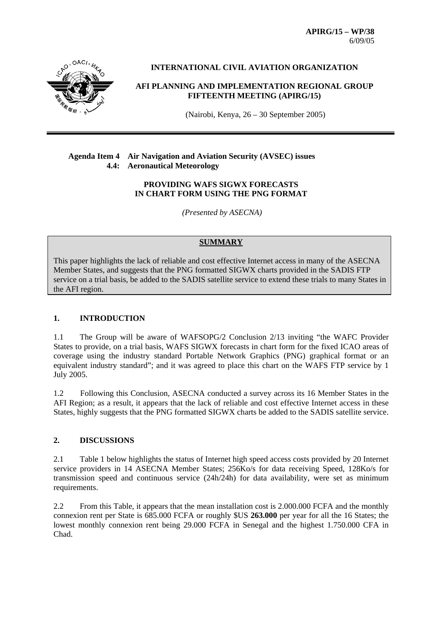**APIRG/15 – WP/38**  6/09/05



**INTERNATIONAL CIVIL AVIATION ORGANIZATION** 

**AFI PLANNING AND IMPLEMENTATION REGIONAL GROUP FIFTEENTH MEETING (APIRG/15)**

(Nairobi, Kenya, 26 – 30 September 2005)

#### **Agenda Item 4 Air Navigation and Aviation Security (AVSEC) issues 4.4: Aeronautical Meteorology**

#### **PROVIDING WAFS SIGWX FORECASTS IN CHART FORM USING THE PNG FORMAT**

 *(Presented by ASECNA)* 

# **SUMMARY**

This paper highlights the lack of reliable and cost effective Internet access in many of the ASECNA Member States, and suggests that the PNG formatted SIGWX charts provided in the SADIS FTP service on a trial basis, be added to the SADIS satellite service to extend these trials to many States in the AFI region.

# **1. INTRODUCTION**

1.1 The Group will be aware of WAFSOPG/2 Conclusion 2/13 inviting "the WAFC Provider States to provide, on a trial basis, WAFS SIGWX forecasts in chart form for the fixed ICAO areas of coverage using the industry standard Portable Network Graphics (PNG) graphical format or an equivalent industry standard"; and it was agreed to place this chart on the WAFS FTP service by 1 July 2005.

1.2 Following this Conclusion, ASECNA conducted a survey across its 16 Member States in the AFI Region; as a result, it appears that the lack of reliable and cost effective Internet access in these States, highly suggests that the PNG formatted SIGWX charts be added to the SADIS satellite service.

# **2. DISCUSSIONS**

2.1 Table 1 below highlights the status of Internet high speed access costs provided by 20 Internet service providers in 14 ASECNA Member States; 256Ko/s for data receiving Speed, 128Ko/s for transmission speed and continuous service (24h/24h) for data availability, were set as minimum requirements.

2.2 From this Table, it appears that the mean installation cost is 2.000.000 FCFA and the monthly connexion rent per State is 685.000 FCFA or roughly \$US **263.000** per year for all the 16 States; the lowest monthly connexion rent being 29.000 FCFA in Senegal and the highest 1.750.000 CFA in Chad.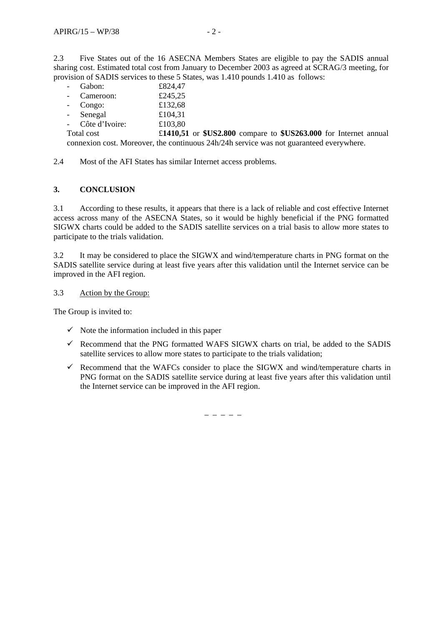2.3 Five States out of the 16 ASECNA Members States are eligible to pay the SADIS annual sharing cost. Estimated total cost from January to December 2003 as agreed at SCRAG/3 meeting, for provision of SADIS services to these 5 States, was 1.410 pounds 1.410 as follows:

|                                                                                         | Gabon:           | £824,47                                                            |  |  |  |  |
|-----------------------------------------------------------------------------------------|------------------|--------------------------------------------------------------------|--|--|--|--|
|                                                                                         | Cameroon:        | £245,25                                                            |  |  |  |  |
|                                                                                         | - Congo:         | £132,68                                                            |  |  |  |  |
|                                                                                         | - Senegal        | £104.31                                                            |  |  |  |  |
|                                                                                         | - Côte d'Ivoire: | £103,80                                                            |  |  |  |  |
| Total cost                                                                              |                  | £1410,51 or $USS2.800$ compare to $USS263.000$ for Internet annual |  |  |  |  |
| connexion cost. Moreover, the continuous 24h/24h service was not guaranteed everywhere. |                  |                                                                    |  |  |  |  |

2.4 Most of the AFI States has similar Internet access problems.

# **3. CONCLUSION**

3.1 According to these results, it appears that there is a lack of reliable and cost effective Internet access across many of the ASECNA States, so it would be highly beneficial if the PNG formatted SIGWX charts could be added to the SADIS satellite services on a trial basis to allow more states to participate to the trials validation.

3.2 It may be considered to place the SIGWX and wind/temperature charts in PNG format on the SADIS satellite service during at least five years after this validation until the Internet service can be improved in the AFI region.

#### 3.3 Action by the Group:

The Group is invited to:

- $\checkmark$  Note the information included in this paper
- $\checkmark$  Recommend that the PNG formatted WAFS SIGWX charts on trial, be added to the SADIS satellite services to allow more states to participate to the trials validation;
- $\checkmark$  Recommend that the WAFCs consider to place the SIGWX and wind/temperature charts in PNG format on the SADIS satellite service during at least five years after this validation until the Internet service can be improved in the AFI region.

– – – – –